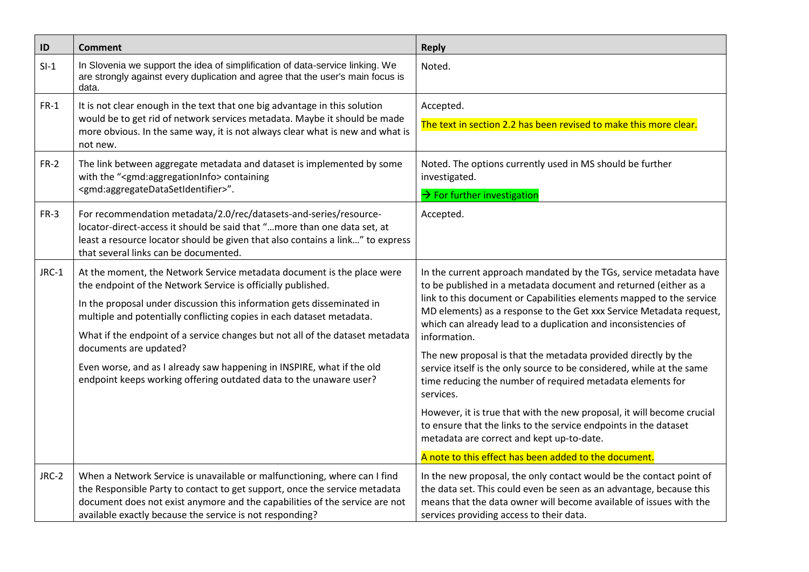| $\mathsf{ID}$ | <b>Comment</b>                                                                                                                                                                                                                                                                                                                                                                                                                                                                                                                                       | <b>Reply</b>                                                                                                                                                                                                                                                                                                                                                                                                                                                                                                                                                                                                                                                                                                                                                                                                                                      |
|---------------|------------------------------------------------------------------------------------------------------------------------------------------------------------------------------------------------------------------------------------------------------------------------------------------------------------------------------------------------------------------------------------------------------------------------------------------------------------------------------------------------------------------------------------------------------|---------------------------------------------------------------------------------------------------------------------------------------------------------------------------------------------------------------------------------------------------------------------------------------------------------------------------------------------------------------------------------------------------------------------------------------------------------------------------------------------------------------------------------------------------------------------------------------------------------------------------------------------------------------------------------------------------------------------------------------------------------------------------------------------------------------------------------------------------|
| $SI-1$        | In Slovenia we support the idea of simplification of data-service linking. We<br>are strongly against every duplication and agree that the user's main focus is<br>data.                                                                                                                                                                                                                                                                                                                                                                             | Noted.                                                                                                                                                                                                                                                                                                                                                                                                                                                                                                                                                                                                                                                                                                                                                                                                                                            |
| $FR-1$        | It is not clear enough in the text that one big advantage in this solution<br>would be to get rid of network services metadata. Maybe it should be made<br>more obvious. In the same way, it is not always clear what is new and what is<br>not new.                                                                                                                                                                                                                                                                                                 | Accepted.<br>The text in section 2.2 has been revised to make this more clear.                                                                                                                                                                                                                                                                                                                                                                                                                                                                                                                                                                                                                                                                                                                                                                    |
| $FR-2$        | The link between aggregate metadata and dataset is implemented by some<br>with the " <gmd:aggregationinfo> containing<br/><gmd:aggregatedatasetidentifier>".</gmd:aggregatedatasetidentifier></gmd:aggregationinfo>                                                                                                                                                                                                                                                                                                                                  | Noted. The options currently used in MS should be further<br>investigated.<br>$\rightarrow$ For further investigation                                                                                                                                                                                                                                                                                                                                                                                                                                                                                                                                                                                                                                                                                                                             |
| $FR-3$        | For recommendation metadata/2.0/rec/datasets-and-series/resource-<br>locator-direct-access it should be said that "more than one data set, at<br>least a resource locator should be given that also contains a link" to express<br>that several links can be documented.                                                                                                                                                                                                                                                                             | Accepted.                                                                                                                                                                                                                                                                                                                                                                                                                                                                                                                                                                                                                                                                                                                                                                                                                                         |
| JRC-1         | At the moment, the Network Service metadata document is the place were<br>the endpoint of the Network Service is officially published.<br>In the proposal under discussion this information gets disseminated in<br>multiple and potentially conflicting copies in each dataset metadata.<br>What if the endpoint of a service changes but not all of the dataset metadata<br>documents are updated?<br>Even worse, and as I already saw happening in INSPIRE, what if the old<br>endpoint keeps working offering outdated data to the unaware user? | In the current approach mandated by the TGs, service metadata have<br>to be published in a metadata document and returned (either as a<br>link to this document or Capabilities elements mapped to the service<br>MD elements) as a response to the Get xxx Service Metadata request,<br>which can already lead to a duplication and inconsistencies of<br>information.<br>The new proposal is that the metadata provided directly by the<br>service itself is the only source to be considered, while at the same<br>time reducing the number of required metadata elements for<br>services.<br>However, it is true that with the new proposal, it will become crucial<br>to ensure that the links to the service endpoints in the dataset<br>metadata are correct and kept up-to-date.<br>A note to this effect has been added to the document. |
| JRC-2         | When a Network Service is unavailable or malfunctioning, where can I find<br>the Responsible Party to contact to get support, once the service metadata<br>document does not exist anymore and the capabilities of the service are not<br>available exactly because the service is not responding?                                                                                                                                                                                                                                                   | In the new proposal, the only contact would be the contact point of<br>the data set. This could even be seen as an advantage, because this<br>means that the data owner will become available of issues with the<br>services providing access to their data.                                                                                                                                                                                                                                                                                                                                                                                                                                                                                                                                                                                      |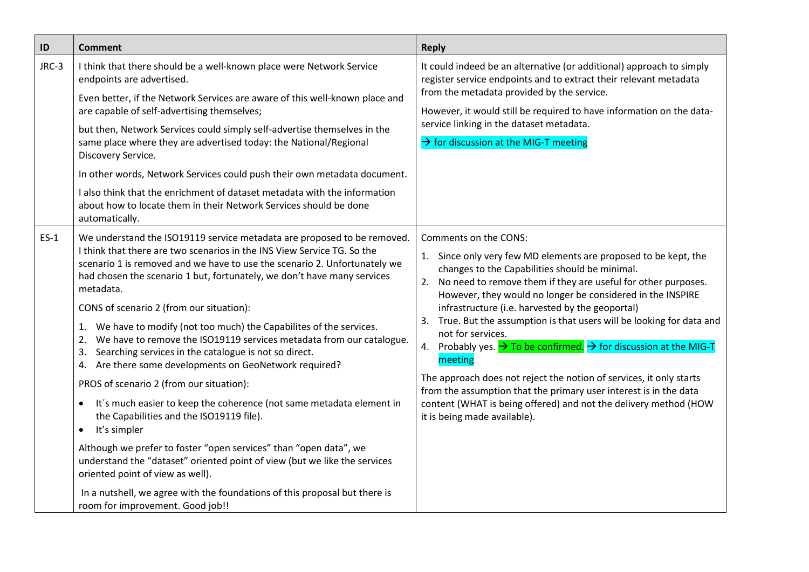| ID     | <b>Comment</b>                                                                                                                                                                                                                                                                                                                                                                                                                                                                                                                                                                                                                                                                                                                                                                                                                                                                                                                                                                                                                                                                                                                                             | <b>Reply</b>                                                                                                                                                                                                                                                                                                                                                                                                                                                                                                                                                                                                                                                                                                                                                                               |
|--------|------------------------------------------------------------------------------------------------------------------------------------------------------------------------------------------------------------------------------------------------------------------------------------------------------------------------------------------------------------------------------------------------------------------------------------------------------------------------------------------------------------------------------------------------------------------------------------------------------------------------------------------------------------------------------------------------------------------------------------------------------------------------------------------------------------------------------------------------------------------------------------------------------------------------------------------------------------------------------------------------------------------------------------------------------------------------------------------------------------------------------------------------------------|--------------------------------------------------------------------------------------------------------------------------------------------------------------------------------------------------------------------------------------------------------------------------------------------------------------------------------------------------------------------------------------------------------------------------------------------------------------------------------------------------------------------------------------------------------------------------------------------------------------------------------------------------------------------------------------------------------------------------------------------------------------------------------------------|
| JRC-3  | I think that there should be a well-known place were Network Service<br>endpoints are advertised.<br>Even better, if the Network Services are aware of this well-known place and<br>are capable of self-advertising themselves;<br>but then, Network Services could simply self-advertise themselves in the<br>same place where they are advertised today: the National/Regional<br>Discovery Service.<br>In other words, Network Services could push their own metadata document.<br>I also think that the enrichment of dataset metadata with the information<br>about how to locate them in their Network Services should be done<br>automatically.                                                                                                                                                                                                                                                                                                                                                                                                                                                                                                     | It could indeed be an alternative (or additional) approach to simply<br>register service endpoints and to extract their relevant metadata<br>from the metadata provided by the service.<br>However, it would still be required to have information on the data-<br>service linking in the dataset metadata.<br>$\rightarrow$ for discussion at the MIG-T meeting                                                                                                                                                                                                                                                                                                                                                                                                                           |
| $ES-1$ | We understand the ISO19119 service metadata are proposed to be removed.<br>I think that there are two scenarios in the INS View Service TG. So the<br>scenario 1 is removed and we have to use the scenario 2. Unfortunately we<br>had chosen the scenario 1 but, fortunately, we don't have many services<br>metadata.<br>CONS of scenario 2 (from our situation):<br>We have to modify (not too much) the Capabilites of the services.<br>1.<br>We have to remove the ISO19119 services metadata from our catalogue.<br>2.<br>Searching services in the catalogue is not so direct.<br>3.<br>4. Are there some developments on GeoNetwork required?<br>PROS of scenario 2 (from our situation):<br>It's much easier to keep the coherence (not same metadata element in<br>the Capabilities and the ISO19119 file).<br>It's simpler<br>$\bullet$<br>Although we prefer to foster "open services" than "open data", we<br>understand the "dataset" oriented point of view (but we like the services<br>oriented point of view as well).<br>In a nutshell, we agree with the foundations of this proposal but there is<br>room for improvement. Good job!! | Comments on the CONS:<br>1. Since only very few MD elements are proposed to be kept, the<br>changes to the Capabilities should be minimal.<br>2. No need to remove them if they are useful for other purposes.<br>However, they would no longer be considered in the INSPIRE<br>infrastructure (i.e. harvested by the geoportal)<br>3. True. But the assumption is that users will be looking for data and<br>not for services.<br>Probably yes. $\rightarrow$ To be confirmed. $\rightarrow$ for discussion at the MIG-T<br>4.<br>meeting<br>The approach does not reject the notion of services, it only starts<br>from the assumption that the primary user interest is in the data<br>content (WHAT is being offered) and not the delivery method (HOW<br>it is being made available). |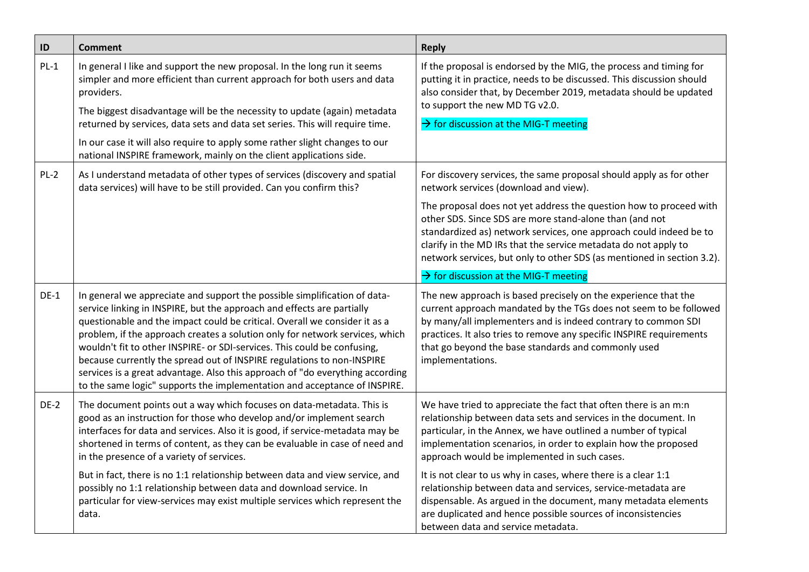| ID     | <b>Comment</b>                                                                                                                                                                                                                                                                                                                                                                                                                                                                                                                                                                                                                        | <b>Reply</b>                                                                                                                                                                                                                                                                                                                                            |
|--------|---------------------------------------------------------------------------------------------------------------------------------------------------------------------------------------------------------------------------------------------------------------------------------------------------------------------------------------------------------------------------------------------------------------------------------------------------------------------------------------------------------------------------------------------------------------------------------------------------------------------------------------|---------------------------------------------------------------------------------------------------------------------------------------------------------------------------------------------------------------------------------------------------------------------------------------------------------------------------------------------------------|
| $PL-1$ | In general I like and support the new proposal. In the long run it seems<br>simpler and more efficient than current approach for both users and data<br>providers.                                                                                                                                                                                                                                                                                                                                                                                                                                                                    | If the proposal is endorsed by the MIG, the process and timing for<br>putting it in practice, needs to be discussed. This discussion should<br>also consider that, by December 2019, metadata should be updated<br>to support the new MD TG v2.0.                                                                                                       |
|        | The biggest disadvantage will be the necessity to update (again) metadata<br>returned by services, data sets and data set series. This will require time.                                                                                                                                                                                                                                                                                                                                                                                                                                                                             | $\rightarrow$ for discussion at the MIG-T meeting                                                                                                                                                                                                                                                                                                       |
|        | In our case it will also require to apply some rather slight changes to our<br>national INSPIRE framework, mainly on the client applications side.                                                                                                                                                                                                                                                                                                                                                                                                                                                                                    |                                                                                                                                                                                                                                                                                                                                                         |
| $PL-2$ | As I understand metadata of other types of services (discovery and spatial<br>data services) will have to be still provided. Can you confirm this?                                                                                                                                                                                                                                                                                                                                                                                                                                                                                    | For discovery services, the same proposal should apply as for other<br>network services (download and view).                                                                                                                                                                                                                                            |
|        |                                                                                                                                                                                                                                                                                                                                                                                                                                                                                                                                                                                                                                       | The proposal does not yet address the question how to proceed with<br>other SDS. Since SDS are more stand-alone than (and not<br>standardized as) network services, one approach could indeed be to<br>clarify in the MD IRs that the service metadata do not apply to<br>network services, but only to other SDS (as mentioned in section 3.2).        |
|        |                                                                                                                                                                                                                                                                                                                                                                                                                                                                                                                                                                                                                                       | $\rightarrow$ for discussion at the MIG-T meeting                                                                                                                                                                                                                                                                                                       |
| $DE-1$ | In general we appreciate and support the possible simplification of data-<br>service linking in INSPIRE, but the approach and effects are partially<br>questionable and the impact could be critical. Overall we consider it as a<br>problem, if the approach creates a solution only for network services, which<br>wouldn't fit to other INSPIRE- or SDI-services. This could be confusing,<br>because currently the spread out of INSPIRE regulations to non-INSPIRE<br>services is a great advantage. Also this approach of "do everything according<br>to the same logic" supports the implementation and acceptance of INSPIRE. | The new approach is based precisely on the experience that the<br>current approach mandated by the TGs does not seem to be followed<br>by many/all implementers and is indeed contrary to common SDI<br>practices. It also tries to remove any specific INSPIRE requirements<br>that go beyond the base standards and commonly used<br>implementations. |
| $DE-2$ | The document points out a way which focuses on data-metadata. This is<br>good as an instruction for those who develop and/or implement search<br>interfaces for data and services. Also it is good, if service-metadata may be<br>shortened in terms of content, as they can be evaluable in case of need and<br>in the presence of a variety of services.                                                                                                                                                                                                                                                                            | We have tried to appreciate the fact that often there is an m:n<br>relationship between data sets and services in the document. In<br>particular, in the Annex, we have outlined a number of typical<br>implementation scenarios, in order to explain how the proposed<br>approach would be implemented in such cases.                                  |
|        | But in fact, there is no 1:1 relationship between data and view service, and<br>possibly no 1:1 relationship between data and download service. In<br>particular for view-services may exist multiple services which represent the<br>data.                                                                                                                                                                                                                                                                                                                                                                                           | It is not clear to us why in cases, where there is a clear 1:1<br>relationship between data and services, service-metadata are<br>dispensable. As argued in the document, many metadata elements<br>are duplicated and hence possible sources of inconsistencies<br>between data and service metadata.                                                  |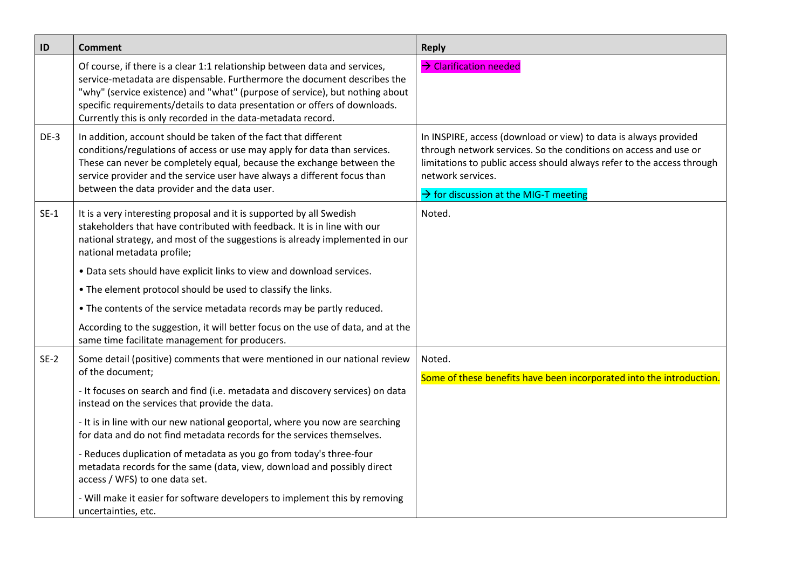| ID     | Comment                                                                                                                                                                                                                                                                                                                                                                              | <b>Reply</b>                                                                                                                                                                                                                                                                 |
|--------|--------------------------------------------------------------------------------------------------------------------------------------------------------------------------------------------------------------------------------------------------------------------------------------------------------------------------------------------------------------------------------------|------------------------------------------------------------------------------------------------------------------------------------------------------------------------------------------------------------------------------------------------------------------------------|
|        | Of course, if there is a clear 1:1 relationship between data and services,<br>service-metadata are dispensable. Furthermore the document describes the<br>"why" (service existence) and "what" (purpose of service), but nothing about<br>specific requirements/details to data presentation or offers of downloads.<br>Currently this is only recorded in the data-metadata record. | > Clarification needed                                                                                                                                                                                                                                                       |
| $DE-3$ | In addition, account should be taken of the fact that different<br>conditions/regulations of access or use may apply for data than services.<br>These can never be completely equal, because the exchange between the<br>service provider and the service user have always a different focus than<br>between the data provider and the data user.                                    | In INSPIRE, access (download or view) to data is always provided<br>through network services. So the conditions on access and use or<br>limitations to public access should always refer to the access through<br>network services.<br>> for discussion at the MIG-T meeting |
| $SE-1$ | It is a very interesting proposal and it is supported by all Swedish<br>stakeholders that have contributed with feedback. It is in line with our<br>national strategy, and most of the suggestions is already implemented in our<br>national metadata profile;                                                                                                                       | Noted.                                                                                                                                                                                                                                                                       |
|        | . Data sets should have explicit links to view and download services.                                                                                                                                                                                                                                                                                                                |                                                                                                                                                                                                                                                                              |
|        | . The element protocol should be used to classify the links.                                                                                                                                                                                                                                                                                                                         |                                                                                                                                                                                                                                                                              |
|        | . The contents of the service metadata records may be partly reduced.                                                                                                                                                                                                                                                                                                                |                                                                                                                                                                                                                                                                              |
|        | According to the suggestion, it will better focus on the use of data, and at the<br>same time facilitate management for producers.                                                                                                                                                                                                                                                   |                                                                                                                                                                                                                                                                              |
| $SE-2$ | Some detail (positive) comments that were mentioned in our national review<br>of the document;                                                                                                                                                                                                                                                                                       | Noted.<br>Some of these benefits have been incorporated into the introduction.                                                                                                                                                                                               |
|        | - It focuses on search and find (i.e. metadata and discovery services) on data<br>instead on the services that provide the data.                                                                                                                                                                                                                                                     |                                                                                                                                                                                                                                                                              |
|        | - It is in line with our new national geoportal, where you now are searching<br>for data and do not find metadata records for the services themselves.                                                                                                                                                                                                                               |                                                                                                                                                                                                                                                                              |
|        | - Reduces duplication of metadata as you go from today's three-four<br>metadata records for the same (data, view, download and possibly direct<br>access / WFS) to one data set.                                                                                                                                                                                                     |                                                                                                                                                                                                                                                                              |
|        | - Will make it easier for software developers to implement this by removing<br>uncertainties, etc.                                                                                                                                                                                                                                                                                   |                                                                                                                                                                                                                                                                              |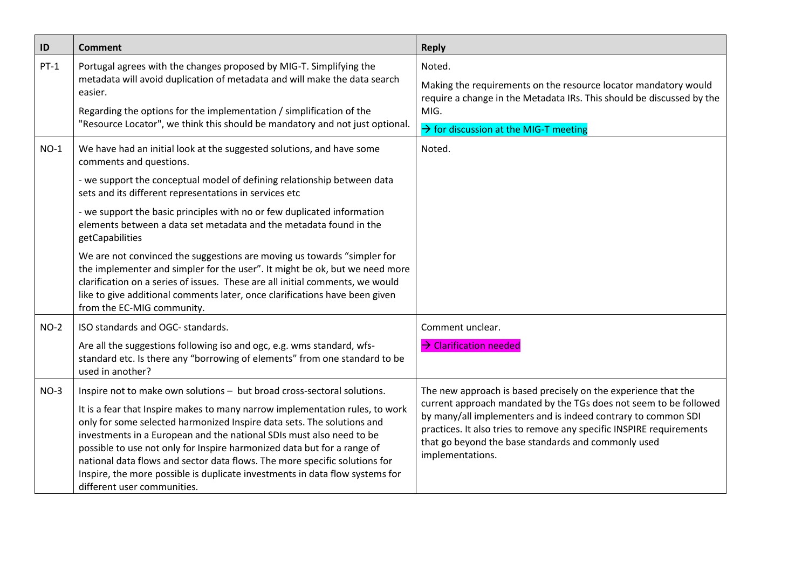| $\mathsf{ID}$ | <b>Comment</b>                                                                                                                                                                                                                                                                                                                                                                                                                                                                                                                                                                    | <b>Reply</b>                                                                                                                                                                                                                                                                                                                                            |
|---------------|-----------------------------------------------------------------------------------------------------------------------------------------------------------------------------------------------------------------------------------------------------------------------------------------------------------------------------------------------------------------------------------------------------------------------------------------------------------------------------------------------------------------------------------------------------------------------------------|---------------------------------------------------------------------------------------------------------------------------------------------------------------------------------------------------------------------------------------------------------------------------------------------------------------------------------------------------------|
| $PT-1$        | Portugal agrees with the changes proposed by MIG-T. Simplifying the<br>metadata will avoid duplication of metadata and will make the data search<br>easier.<br>Regarding the options for the implementation / simplification of the<br>"Resource Locator", we think this should be mandatory and not just optional.                                                                                                                                                                                                                                                               | Noted.<br>Making the requirements on the resource locator mandatory would<br>require a change in the Metadata IRs. This should be discussed by the<br>MIG.<br>$\rightarrow$ for discussion at the MIG-T meeting                                                                                                                                         |
| $NO-1$        | We have had an initial look at the suggested solutions, and have some<br>comments and questions.<br>- we support the conceptual model of defining relationship between data<br>sets and its different representations in services etc                                                                                                                                                                                                                                                                                                                                             | Noted.                                                                                                                                                                                                                                                                                                                                                  |
|               | - we support the basic principles with no or few duplicated information<br>elements between a data set metadata and the metadata found in the<br>getCapabilities                                                                                                                                                                                                                                                                                                                                                                                                                  |                                                                                                                                                                                                                                                                                                                                                         |
|               | We are not convinced the suggestions are moving us towards "simpler for<br>the implementer and simpler for the user". It might be ok, but we need more<br>clarification on a series of issues. These are all initial comments, we would<br>like to give additional comments later, once clarifications have been given<br>from the EC-MIG community.                                                                                                                                                                                                                              |                                                                                                                                                                                                                                                                                                                                                         |
| $NO-2$        | ISO standards and OGC- standards.                                                                                                                                                                                                                                                                                                                                                                                                                                                                                                                                                 | Comment unclear.                                                                                                                                                                                                                                                                                                                                        |
|               | Are all the suggestions following iso and ogc, e.g. wms standard, wfs-<br>standard etc. Is there any "borrowing of elements" from one standard to be<br>used in another?                                                                                                                                                                                                                                                                                                                                                                                                          | $\rightarrow$ Clarification needed                                                                                                                                                                                                                                                                                                                      |
| $NO-3$        | Inspire not to make own solutions - but broad cross-sectoral solutions.<br>It is a fear that Inspire makes to many narrow implementation rules, to work<br>only for some selected harmonized Inspire data sets. The solutions and<br>investments in a European and the national SDIs must also need to be<br>possible to use not only for Inspire harmonized data but for a range of<br>national data flows and sector data flows. The more specific solutions for<br>Inspire, the more possible is duplicate investments in data flow systems for<br>different user communities. | The new approach is based precisely on the experience that the<br>current approach mandated by the TGs does not seem to be followed<br>by many/all implementers and is indeed contrary to common SDI<br>practices. It also tries to remove any specific INSPIRE requirements<br>that go beyond the base standards and commonly used<br>implementations. |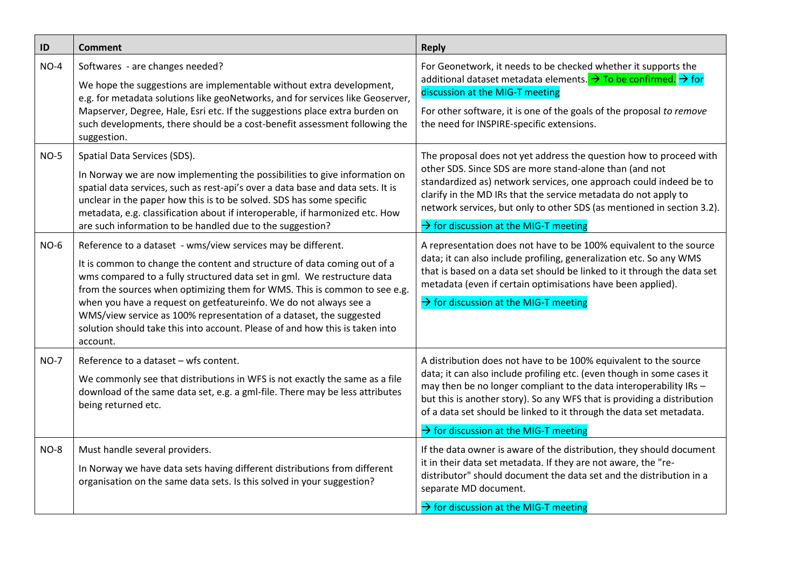| ID     | <b>Comment</b>                                                                                                                                                                                                                                                                                                                                                                                                                                                                                                                           | <b>Reply</b>                                                                                                                                                                                                                                                                                                                                                                                                            |
|--------|------------------------------------------------------------------------------------------------------------------------------------------------------------------------------------------------------------------------------------------------------------------------------------------------------------------------------------------------------------------------------------------------------------------------------------------------------------------------------------------------------------------------------------------|-------------------------------------------------------------------------------------------------------------------------------------------------------------------------------------------------------------------------------------------------------------------------------------------------------------------------------------------------------------------------------------------------------------------------|
| $NO-4$ | Softwares - are changes needed?<br>We hope the suggestions are implementable without extra development,<br>e.g. for metadata solutions like geoNetworks, and for services like Geoserver,<br>Mapserver, Degree, Hale, Esri etc. If the suggestions place extra burden on<br>such developments, there should be a cost-benefit assessment following the<br>suggestion.                                                                                                                                                                    | For Geonetwork, it needs to be checked whether it supports the<br>additional dataset metadata elements. → To be confirmed. → for<br>discussion at the MIG-T meeting<br>For other software, it is one of the goals of the proposal to remove<br>the need for INSPIRE-specific extensions.                                                                                                                                |
| $NO-5$ | Spatial Data Services (SDS).<br>In Norway we are now implementing the possibilities to give information on<br>spatial data services, such as rest-api's over a data base and data sets. It is<br>unclear in the paper how this is to be solved. SDS has some specific<br>metadata, e.g. classification about if interoperable, if harmonized etc. How<br>are such information to be handled due to the suggestion?                                                                                                                       | The proposal does not yet address the question how to proceed with<br>other SDS. Since SDS are more stand-alone than (and not<br>standardized as) network services, one approach could indeed be to<br>clarify in the MD IRs that the service metadata do not apply to<br>network services, but only to other SDS (as mentioned in section 3.2).<br>$\rightarrow$ for discussion at the MIG-T meeting                   |
| $NO-6$ | Reference to a dataset - wms/view services may be different.<br>It is common to change the content and structure of data coming out of a<br>wms compared to a fully structured data set in gml. We restructure data<br>from the sources when optimizing them for WMS. This is common to see e.g.<br>when you have a request on getfeatureinfo. We do not always see a<br>WMS/view service as 100% representation of a dataset, the suggested<br>solution should take this into account. Please of and how this is taken into<br>account. | A representation does not have to be 100% equivalent to the source<br>data; it can also include profiling, generalization etc. So any WMS<br>that is based on a data set should be linked to it through the data set<br>metadata (even if certain optimisations have been applied).<br>$\rightarrow$ for discussion at the MIG-T meeting                                                                                |
| $NO-7$ | Reference to a dataset - wfs content.<br>We commonly see that distributions in WFS is not exactly the same as a file<br>download of the same data set, e.g. a gml-file. There may be less attributes<br>being returned etc.                                                                                                                                                                                                                                                                                                              | A distribution does not have to be 100% equivalent to the source<br>data; it can also include profiling etc. (even though in some cases it<br>may then be no longer compliant to the data interoperability IRs -<br>but this is another story). So any WFS that is providing a distribution<br>of a data set should be linked to it through the data set metadata.<br>$\rightarrow$ for discussion at the MIG-T meeting |
| NO-8   | Must handle several providers.<br>In Norway we have data sets having different distributions from different<br>organisation on the same data sets. Is this solved in your suggestion?                                                                                                                                                                                                                                                                                                                                                    | If the data owner is aware of the distribution, they should document<br>it in their data set metadata. If they are not aware, the "re-<br>distributor" should document the data set and the distribution in a<br>separate MD document.<br>$\rightarrow$ for discussion at the MIG-T meeting                                                                                                                             |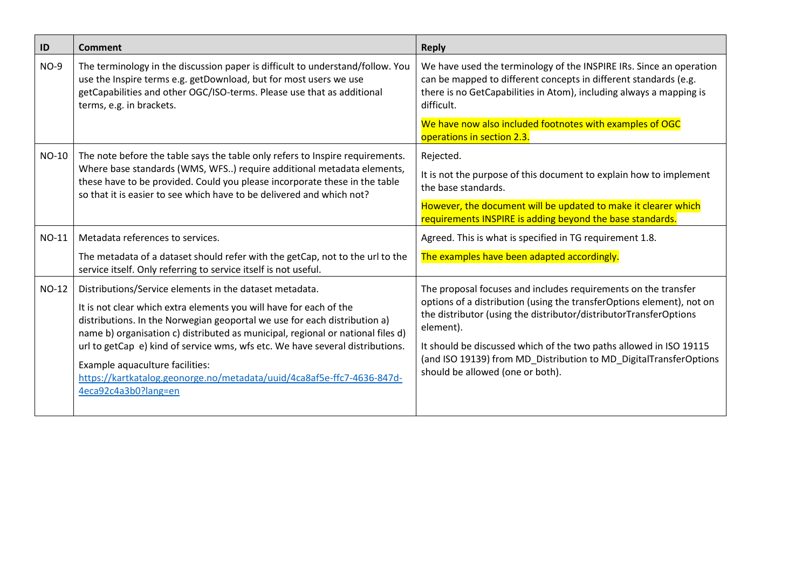| ID      | <b>Comment</b>                                                                                                                                                                                                                                                                                                                                                                                                                                                                                                      | <b>Reply</b>                                                                                                                                                                                                                                                                                                                                                                                             |
|---------|---------------------------------------------------------------------------------------------------------------------------------------------------------------------------------------------------------------------------------------------------------------------------------------------------------------------------------------------------------------------------------------------------------------------------------------------------------------------------------------------------------------------|----------------------------------------------------------------------------------------------------------------------------------------------------------------------------------------------------------------------------------------------------------------------------------------------------------------------------------------------------------------------------------------------------------|
| $NO-9$  | The terminology in the discussion paper is difficult to understand/follow. You<br>use the Inspire terms e.g. getDownload, but for most users we use<br>getCapabilities and other OGC/ISO-terms. Please use that as additional<br>terms, e.g. in brackets.                                                                                                                                                                                                                                                           | We have used the terminology of the INSPIRE IRs. Since an operation<br>can be mapped to different concepts in different standards (e.g.<br>there is no GetCapabilities in Atom), including always a mapping is<br>difficult.                                                                                                                                                                             |
|         |                                                                                                                                                                                                                                                                                                                                                                                                                                                                                                                     | We have now also included footnotes with examples of OGC<br>operations in section 2.3.                                                                                                                                                                                                                                                                                                                   |
| NO-10   | The note before the table says the table only refers to Inspire requirements.<br>Where base standards (WMS, WFS) require additional metadata elements,<br>these have to be provided. Could you please incorporate these in the table<br>so that it is easier to see which have to be delivered and which not?                                                                                                                                                                                                       | Rejected.<br>It is not the purpose of this document to explain how to implement<br>the base standards.<br>However, the document will be updated to make it clearer which<br>requirements INSPIRE is adding beyond the base standards.                                                                                                                                                                    |
| $NO-11$ | Metadata references to services.                                                                                                                                                                                                                                                                                                                                                                                                                                                                                    | Agreed. This is what is specified in TG requirement 1.8.                                                                                                                                                                                                                                                                                                                                                 |
|         | The metadata of a dataset should refer with the getCap, not to the url to the<br>service itself. Only referring to service itself is not useful.                                                                                                                                                                                                                                                                                                                                                                    | The examples have been adapted accordingly.                                                                                                                                                                                                                                                                                                                                                              |
| NO-12   | Distributions/Service elements in the dataset metadata.<br>It is not clear which extra elements you will have for each of the<br>distributions. In the Norwegian geoportal we use for each distribution a)<br>name b) organisation c) distributed as municipal, regional or national files d)<br>url to getCap e) kind of service wms, wfs etc. We have several distributions.<br>Example aquaculture facilities:<br>https://kartkatalog.geonorge.no/metadata/uuid/4ca8af5e-ffc7-4636-847d-<br>4eca92c4a3b0?lang=en | The proposal focuses and includes requirements on the transfer<br>options of a distribution (using the transferOptions element), not on<br>the distributor (using the distributor/distributorTransferOptions<br>element).<br>It should be discussed which of the two paths allowed in ISO 19115<br>(and ISO 19139) from MD_Distribution to MD_DigitalTransferOptions<br>should be allowed (one or both). |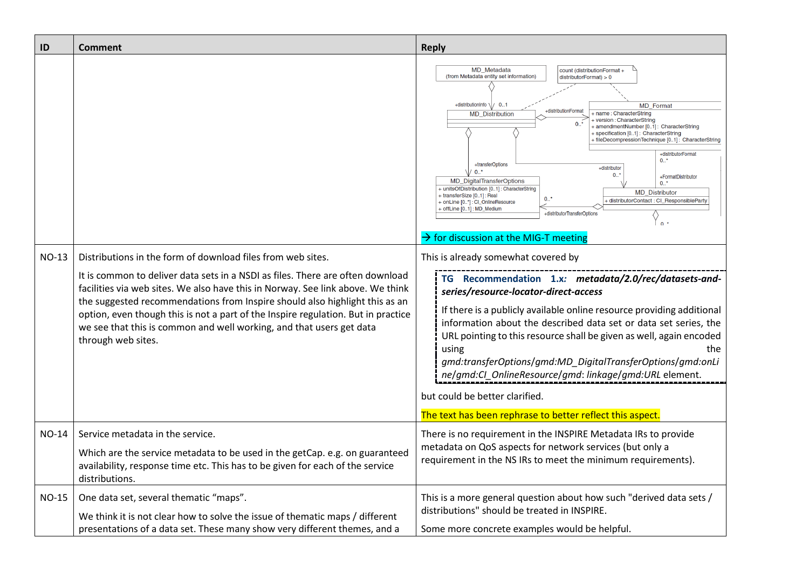| ID           | <b>Comment</b>                                                                                                                                                                                                                                                                                                                                                                                                                                                                                     | <b>Reply</b>                                                                                                                                                                                                                                                                                                                                                                                                                                                                                                                                                                                                                                                                                                                                                                                                                                                                                        |
|--------------|----------------------------------------------------------------------------------------------------------------------------------------------------------------------------------------------------------------------------------------------------------------------------------------------------------------------------------------------------------------------------------------------------------------------------------------------------------------------------------------------------|-----------------------------------------------------------------------------------------------------------------------------------------------------------------------------------------------------------------------------------------------------------------------------------------------------------------------------------------------------------------------------------------------------------------------------------------------------------------------------------------------------------------------------------------------------------------------------------------------------------------------------------------------------------------------------------------------------------------------------------------------------------------------------------------------------------------------------------------------------------------------------------------------------|
|              |                                                                                                                                                                                                                                                                                                                                                                                                                                                                                                    | <b>MD</b> Metadata<br>count (distributionFormat +<br>(from Metadata entity set information)<br>distributionFormat) > 0<br>+distribution Info \  $/$ 01<br><b>MD</b> Format<br>+distributionFormat<br><b>MD_Distribution</b><br>name: CharacterString<br>version: CharacterString<br>amendmentNumber [01]: CharacterString<br>specification [01]: CharacterString<br>fileDecompressionTechnique [01]: CharacterString<br>+distributorFormat<br>0.7<br>+transferOptions<br>+distributor<br>$1/0.1$ *<br>$\Omega$<br>+FormatDistributor<br>MD_DigitalTransferOptions<br>0.7<br>+ unitsOfDistribution [01] : CharacterString<br><b>MD_Distributor</b><br>+ transferSize [01] : Real<br>0.7<br>- distributorContact : CI_ResponsibleParty<br>+ onLine [0*] : CI_OnlineResource<br>+ offLine [01] : MD_Medium<br>+distributorTransferOptions<br>$0*$<br>$\rightarrow$ for discussion at the MIG-T meeting |
| <b>NO-13</b> | Distributions in the form of download files from web sites.<br>It is common to deliver data sets in a NSDI as files. There are often download<br>facilities via web sites. We also have this in Norway. See link above. We think<br>the suggested recommendations from Inspire should also highlight this as an<br>option, even though this is not a part of the Inspire regulation. But in practice<br>we see that this is common and well working, and that users get data<br>through web sites. | This is already somewhat covered by<br>TG Recommendation 1.x: metadata/2.0/rec/datasets-and-<br>series/resource-locator-direct-access<br>If there is a publicly available online resource providing additional<br>information about the described data set or data set series, the<br>URL pointing to this resource shall be given as well, again encoded<br>using<br>the<br>gmd:transferOptions/gmd:MD_DigitalTransferOptions/gmd:onLi<br>ne/gmd:Cl_OnlineResource/gmd: linkage/gmd:URL element.<br>but could be better clarified.                                                                                                                                                                                                                                                                                                                                                                 |
| <b>NO-14</b> | Service metadata in the service.<br>Which are the service metadata to be used in the getCap. e.g. on guaranteed<br>availability, response time etc. This has to be given for each of the service<br>distributions.                                                                                                                                                                                                                                                                                 | The text has been rephrase to better reflect this aspect.<br>There is no requirement in the INSPIRE Metadata IRs to provide<br>metadata on QoS aspects for network services (but only a<br>requirement in the NS IRs to meet the minimum requirements).                                                                                                                                                                                                                                                                                                                                                                                                                                                                                                                                                                                                                                             |
| <b>NO-15</b> | One data set, several thematic "maps".<br>We think it is not clear how to solve the issue of thematic maps / different<br>presentations of a data set. These many show very different themes, and a                                                                                                                                                                                                                                                                                                | This is a more general question about how such "derived data sets /<br>distributions" should be treated in INSPIRE.<br>Some more concrete examples would be helpful.                                                                                                                                                                                                                                                                                                                                                                                                                                                                                                                                                                                                                                                                                                                                |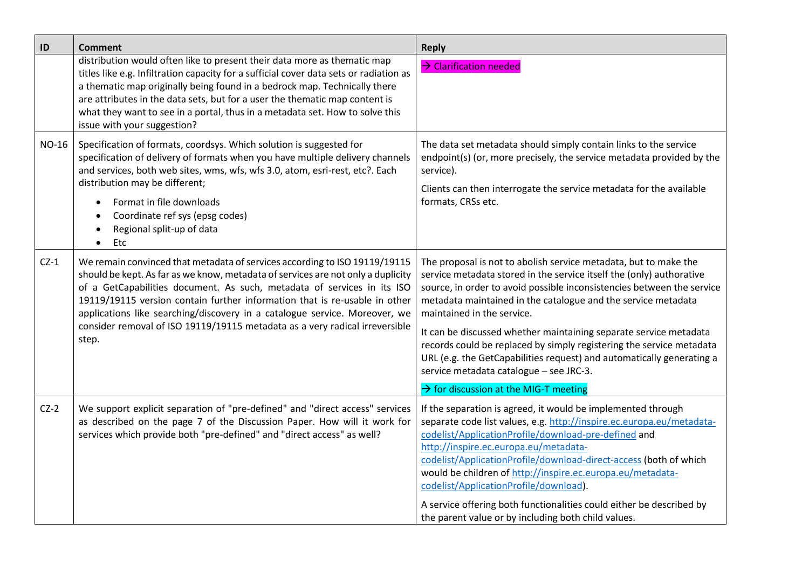| ID           | <b>Comment</b>                                                                                                                                                                                                                                                                                                                                                                                                                                                                                | <b>Reply</b>                                                                                                                                                                                                                                                                                                                                                                                                                                                                                                                                                                                                                            |
|--------------|-----------------------------------------------------------------------------------------------------------------------------------------------------------------------------------------------------------------------------------------------------------------------------------------------------------------------------------------------------------------------------------------------------------------------------------------------------------------------------------------------|-----------------------------------------------------------------------------------------------------------------------------------------------------------------------------------------------------------------------------------------------------------------------------------------------------------------------------------------------------------------------------------------------------------------------------------------------------------------------------------------------------------------------------------------------------------------------------------------------------------------------------------------|
|              | distribution would often like to present their data more as thematic map<br>titles like e.g. Infiltration capacity for a sufficial cover data sets or radiation as<br>a thematic map originally being found in a bedrock map. Technically there<br>are attributes in the data sets, but for a user the thematic map content is<br>what they want to see in a portal, thus in a metadata set. How to solve this<br>issue with your suggestion?                                                 | $\rightarrow$ Clarification needed                                                                                                                                                                                                                                                                                                                                                                                                                                                                                                                                                                                                      |
| <b>NO-16</b> | Specification of formats, coordsys. Which solution is suggested for<br>specification of delivery of formats when you have multiple delivery channels<br>and services, both web sites, wms, wfs, wfs 3.0, atom, esri-rest, etc?. Each<br>distribution may be different;<br>Format in file downloads<br>Coordinate ref sys (epsg codes)<br>Regional split-up of data<br>Etc<br>$\bullet$                                                                                                        | The data set metadata should simply contain links to the service<br>endpoint(s) (or, more precisely, the service metadata provided by the<br>service).<br>Clients can then interrogate the service metadata for the available<br>formats, CRSs etc.                                                                                                                                                                                                                                                                                                                                                                                     |
| $CZ-1$       | We remain convinced that metadata of services according to ISO 19119/19115<br>should be kept. As far as we know, metadata of services are not only a duplicity<br>of a GetCapabilities document. As such, metadata of services in its ISO<br>19119/19115 version contain further information that is re-usable in other<br>applications like searching/discovery in a catalogue service. Moreover, we<br>consider removal of ISO 19119/19115 metadata as a very radical irreversible<br>step. | The proposal is not to abolish service metadata, but to make the<br>service metadata stored in the service itself the (only) authorative<br>source, in order to avoid possible inconsistencies between the service<br>metadata maintained in the catalogue and the service metadata<br>maintained in the service.<br>It can be discussed whether maintaining separate service metadata<br>records could be replaced by simply registering the service metadata<br>URL (e.g. the GetCapabilities request) and automatically generating a<br>service metadata catalogue - see JRC-3.<br>$\rightarrow$ for discussion at the MIG-T meeting |
| $CZ-2$       | We support explicit separation of "pre-defined" and "direct access" services<br>as described on the page 7 of the Discussion Paper. How will it work for<br>services which provide both "pre-defined" and "direct access" as well?                                                                                                                                                                                                                                                            | If the separation is agreed, it would be implemented through<br>separate code list values, e.g. http://inspire.ec.europa.eu/metadata-<br>codelist/ApplicationProfile/download-pre-defined and<br>http://inspire.ec.europa.eu/metadata-<br>codelist/ApplicationProfile/download-direct-access (both of which<br>would be children of http://inspire.ec.europa.eu/metadata-<br>codelist/ApplicationProfile/download).<br>A service offering both functionalities could either be described by<br>the parent value or by including both child values.                                                                                      |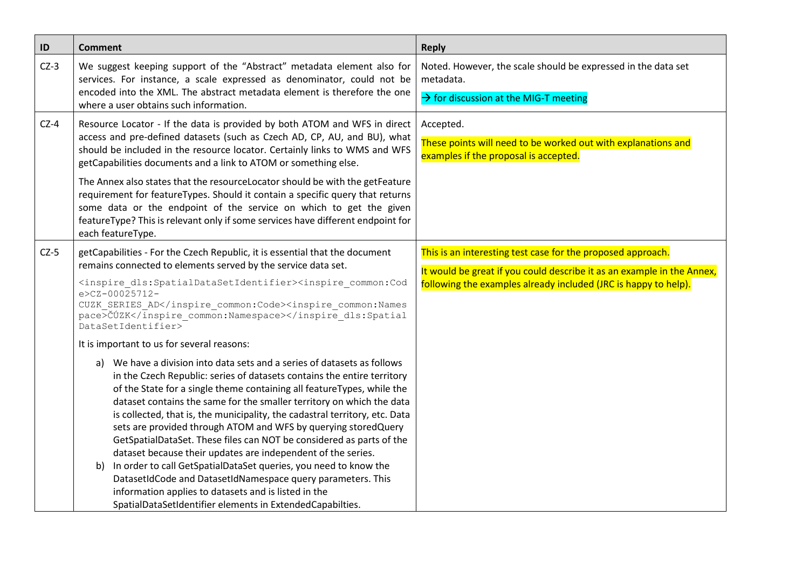| $\sf ID$ | <b>Comment</b>                                                                                                                                                                                                                                                                                                                                                                                                                                                                                                                                                                                                                                                                                                                                                                                                                                                 | <b>Reply</b>                                                                                           |
|----------|----------------------------------------------------------------------------------------------------------------------------------------------------------------------------------------------------------------------------------------------------------------------------------------------------------------------------------------------------------------------------------------------------------------------------------------------------------------------------------------------------------------------------------------------------------------------------------------------------------------------------------------------------------------------------------------------------------------------------------------------------------------------------------------------------------------------------------------------------------------|--------------------------------------------------------------------------------------------------------|
| $CZ-3$   | We suggest keeping support of the "Abstract" metadata element also for<br>services. For instance, a scale expressed as denominator, could not be                                                                                                                                                                                                                                                                                                                                                                                                                                                                                                                                                                                                                                                                                                               | Noted. However, the scale should be expressed in the data set<br>metadata.                             |
|          | encoded into the XML. The abstract metadata element is therefore the one<br>where a user obtains such information.                                                                                                                                                                                                                                                                                                                                                                                                                                                                                                                                                                                                                                                                                                                                             | $\rightarrow$ for discussion at the MIG-T meeting                                                      |
| $CZ-4$   | Resource Locator - If the data is provided by both ATOM and WFS in direct                                                                                                                                                                                                                                                                                                                                                                                                                                                                                                                                                                                                                                                                                                                                                                                      | Accepted.                                                                                              |
|          | access and pre-defined datasets (such as Czech AD, CP, AU, and BU), what<br>should be included in the resource locator. Certainly links to WMS and WFS<br>getCapabilities documents and a link to ATOM or something else.                                                                                                                                                                                                                                                                                                                                                                                                                                                                                                                                                                                                                                      | These points will need to be worked out with explanations and<br>examples if the proposal is accepted. |
|          | The Annex also states that the resourceLocator should be with the getFeature<br>requirement for featureTypes. Should it contain a specific query that returns<br>some data or the endpoint of the service on which to get the given<br>featureType? This is relevant only if some services have different endpoint for<br>each featureType.                                                                                                                                                                                                                                                                                                                                                                                                                                                                                                                    |                                                                                                        |
| $CZ-5$   | getCapabilities - For the Czech Republic, it is essential that the document                                                                                                                                                                                                                                                                                                                                                                                                                                                                                                                                                                                                                                                                                                                                                                                    | This is an interesting test case for the proposed approach.                                            |
|          | remains connected to elements served by the service data set.                                                                                                                                                                                                                                                                                                                                                                                                                                                                                                                                                                                                                                                                                                                                                                                                  | It would be great if you could describe it as an example in the Annex,                                 |
|          | <inspire dls:spatialdatasetidentifier=""><inspire common:cod<br=""><math>e &gt; CZ - 000Z5712 -</math></inspire></inspire>                                                                                                                                                                                                                                                                                                                                                                                                                                                                                                                                                                                                                                                                                                                                     | following the examples already included (JRC is happy to help).                                        |
|          | CUZK SERIES AD <inspire common:names<br="">pace&gt;ČÚZK</inspire> DataSetIdentifier>                                                                                                                                                                                                                                                                                                                                                                                                                                                                                                                                                                                                                                                                                                                                                                           |                                                                                                        |
|          | It is important to us for several reasons:                                                                                                                                                                                                                                                                                                                                                                                                                                                                                                                                                                                                                                                                                                                                                                                                                     |                                                                                                        |
|          | a) We have a division into data sets and a series of datasets as follows<br>in the Czech Republic: series of datasets contains the entire territory<br>of the State for a single theme containing all featureTypes, while the<br>dataset contains the same for the smaller territory on which the data<br>is collected, that is, the municipality, the cadastral territory, etc. Data<br>sets are provided through ATOM and WFS by querying stored Query<br>GetSpatialDataSet. These files can NOT be considered as parts of the<br>dataset because their updates are independent of the series.<br>In order to call GetSpatialDataSet queries, you need to know the<br>b)<br>DatasetIdCode and DatasetIdNamespace query parameters. This<br>information applies to datasets and is listed in the<br>SpatialDataSetIdentifier elements in ExtendedCapabilties. |                                                                                                        |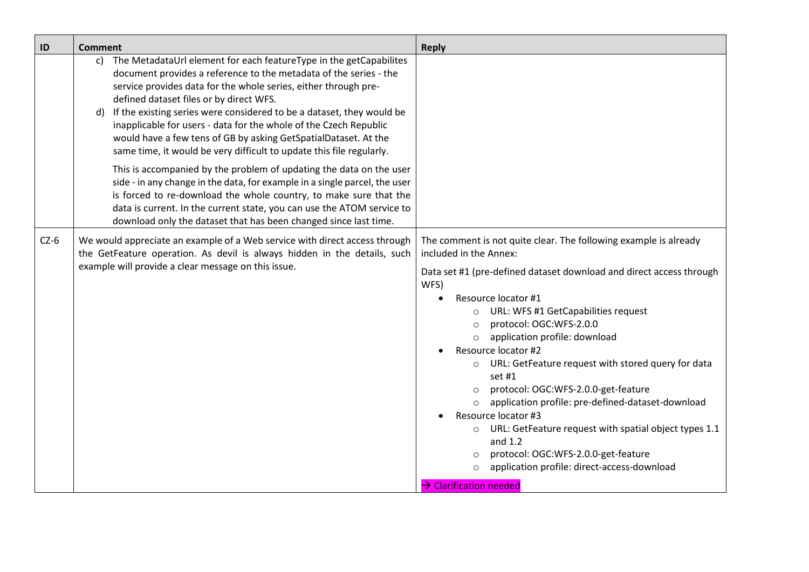| ID     | <b>Comment</b>                                                                                                                                                                                                                                                                                                                                                                                                                                                                                                                                             | <b>Reply</b>                                                                               |
|--------|------------------------------------------------------------------------------------------------------------------------------------------------------------------------------------------------------------------------------------------------------------------------------------------------------------------------------------------------------------------------------------------------------------------------------------------------------------------------------------------------------------------------------------------------------------|--------------------------------------------------------------------------------------------|
|        | The MetadataUrl element for each featureType in the getCapabilites<br>c)<br>document provides a reference to the metadata of the series - the<br>service provides data for the whole series, either through pre-<br>defined dataset files or by direct WFS.<br>If the existing series were considered to be a dataset, they would be<br>d)<br>inapplicable for users - data for the whole of the Czech Republic<br>would have a few tens of GB by asking GetSpatialDataset. At the<br>same time, it would be very difficult to update this file regularly. |                                                                                            |
|        | This is accompanied by the problem of updating the data on the user<br>side - in any change in the data, for example in a single parcel, the user<br>is forced to re-download the whole country, to make sure that the<br>data is current. In the current state, you can use the ATOM service to<br>download only the dataset that has been changed since last time.                                                                                                                                                                                       |                                                                                            |
| $CZ-6$ | We would appreciate an example of a Web service with direct access through<br>the GetFeature operation. As devil is always hidden in the details, such                                                                                                                                                                                                                                                                                                                                                                                                     | The comment is not quite clear. The following example is already<br>included in the Annex: |
|        | example will provide a clear message on this issue.                                                                                                                                                                                                                                                                                                                                                                                                                                                                                                        | Data set #1 (pre-defined dataset download and direct access through<br>WFS)                |
|        |                                                                                                                                                                                                                                                                                                                                                                                                                                                                                                                                                            | Resource locator #1                                                                        |
|        |                                                                                                                                                                                                                                                                                                                                                                                                                                                                                                                                                            | $\circ$ URL: WFS #1 GetCapabilities request<br>protocol: OGC:WFS-2.0.0                     |
|        |                                                                                                                                                                                                                                                                                                                                                                                                                                                                                                                                                            | application profile: download<br>$\circ$                                                   |
|        |                                                                                                                                                                                                                                                                                                                                                                                                                                                                                                                                                            | Resource locator #2                                                                        |
|        |                                                                                                                                                                                                                                                                                                                                                                                                                                                                                                                                                            | URL: GetFeature request with stored query for data<br>$\circ$<br>set #1                    |
|        |                                                                                                                                                                                                                                                                                                                                                                                                                                                                                                                                                            | protocol: OGC:WFS-2.0.0-get-feature<br>$\circ$                                             |
|        |                                                                                                                                                                                                                                                                                                                                                                                                                                                                                                                                                            | application profile: pre-defined-dataset-download<br>$\circ$                               |
|        |                                                                                                                                                                                                                                                                                                                                                                                                                                                                                                                                                            | Resource locator #3<br>URL: GetFeature request with spatial object types 1.1               |
|        |                                                                                                                                                                                                                                                                                                                                                                                                                                                                                                                                                            | and $1.2$                                                                                  |
|        |                                                                                                                                                                                                                                                                                                                                                                                                                                                                                                                                                            | protocol: OGC:WFS-2.0.0-get-feature<br>$\circ$                                             |
|        |                                                                                                                                                                                                                                                                                                                                                                                                                                                                                                                                                            | application profile: direct-access-download<br>$\circ$                                     |
|        |                                                                                                                                                                                                                                                                                                                                                                                                                                                                                                                                                            | $\rightarrow$ Clarification needed                                                         |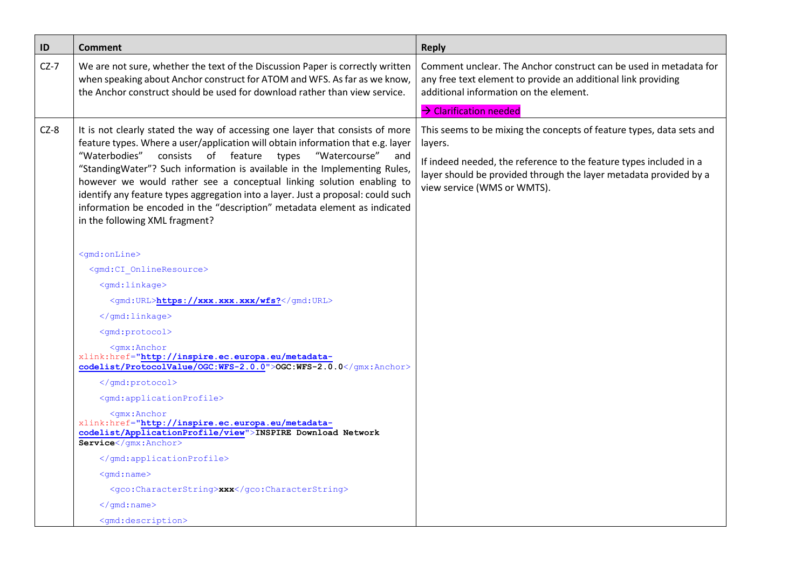| ID     | <b>Comment</b>                                                                                                                                                                                                                                                                                                                                                                                                                                                                                                                                                                                        | <b>Reply</b>                                                                                                                                                                 |
|--------|-------------------------------------------------------------------------------------------------------------------------------------------------------------------------------------------------------------------------------------------------------------------------------------------------------------------------------------------------------------------------------------------------------------------------------------------------------------------------------------------------------------------------------------------------------------------------------------------------------|------------------------------------------------------------------------------------------------------------------------------------------------------------------------------|
| $CZ-7$ | We are not sure, whether the text of the Discussion Paper is correctly written<br>when speaking about Anchor construct for ATOM and WFS. As far as we know,<br>the Anchor construct should be used for download rather than view service.                                                                                                                                                                                                                                                                                                                                                             | Comment unclear. The Anchor construct can be used in metadata for<br>any free text element to provide an additional link providing<br>additional information on the element. |
|        |                                                                                                                                                                                                                                                                                                                                                                                                                                                                                                                                                                                                       | $\rightarrow$ Clarification needed                                                                                                                                           |
| $CZ-8$ | It is not clearly stated the way of accessing one layer that consists of more<br>feature types. Where a user/application will obtain information that e.g. layer<br>"Watercourse"<br>"Waterbodies"<br>consists<br>of feature<br>and<br>types<br>"StandingWater"? Such information is available in the Implementing Rules,<br>however we would rather see a conceptual linking solution enabling to<br>identify any feature types aggregation into a layer. Just a proposal: could such<br>information be encoded in the "description" metadata element as indicated<br>in the following XML fragment? | This seems to be mixing the concepts of feature types, data sets and<br>layers.                                                                                              |
|        |                                                                                                                                                                                                                                                                                                                                                                                                                                                                                                                                                                                                       | If indeed needed, the reference to the feature types included in a<br>layer should be provided through the layer metadata provided by a<br>view service (WMS or WMTS).       |
|        | <gmd:online></gmd:online>                                                                                                                                                                                                                                                                                                                                                                                                                                                                                                                                                                             |                                                                                                                                                                              |
|        | <gmd:ci onlineresource=""></gmd:ci>                                                                                                                                                                                                                                                                                                                                                                                                                                                                                                                                                                   |                                                                                                                                                                              |
|        | <gmd:linkage></gmd:linkage>                                                                                                                                                                                                                                                                                                                                                                                                                                                                                                                                                                           |                                                                                                                                                                              |
|        | <gmd:url>https://xxx.xxx.xxx/wfs?</gmd:url>                                                                                                                                                                                                                                                                                                                                                                                                                                                                                                                                                           |                                                                                                                                                                              |
|        | $\langle$ /qmd:linkaqe>                                                                                                                                                                                                                                                                                                                                                                                                                                                                                                                                                                               |                                                                                                                                                                              |
|        | <gmd:protocol></gmd:protocol>                                                                                                                                                                                                                                                                                                                                                                                                                                                                                                                                                                         |                                                                                                                                                                              |
|        | <gmx:anchor<br>xlink:href="http://inspire.ec.europa.eu/metadata-<br/>codelist/ProtocolValue/OGC:WFS-2.0.0"&gt;OGC:WFS-2.0.0</gmx:anchor<br>                                                                                                                                                                                                                                                                                                                                                                                                                                                           |                                                                                                                                                                              |
|        |                                                                                                                                                                                                                                                                                                                                                                                                                                                                                                                                                                                                       |                                                                                                                                                                              |
|        | <gmd:applicationprofile></gmd:applicationprofile>                                                                                                                                                                                                                                                                                                                                                                                                                                                                                                                                                     |                                                                                                                                                                              |
|        | <gmx:anchor<br>xlink:href="http://inspire.ec.europa.eu/metadata-<br/>codelist/ApplicationProfile/view"&gt;INSPIRE Download Network<br/>Service</gmx:anchor<br>                                                                                                                                                                                                                                                                                                                                                                                                                                        |                                                                                                                                                                              |
|        |                                                                                                                                                                                                                                                                                                                                                                                                                                                                                                                                                                                                       |                                                                                                                                                                              |
|        | $\leq$ qmd: name>                                                                                                                                                                                                                                                                                                                                                                                                                                                                                                                                                                                     |                                                                                                                                                                              |
|        | <gco:characterstring>xxx</gco:characterstring>                                                                                                                                                                                                                                                                                                                                                                                                                                                                                                                                                        |                                                                                                                                                                              |
|        | $\frac{2}{\text{qmd}}$ : name>                                                                                                                                                                                                                                                                                                                                                                                                                                                                                                                                                                        |                                                                                                                                                                              |
|        | <gmd:description></gmd:description>                                                                                                                                                                                                                                                                                                                                                                                                                                                                                                                                                                   |                                                                                                                                                                              |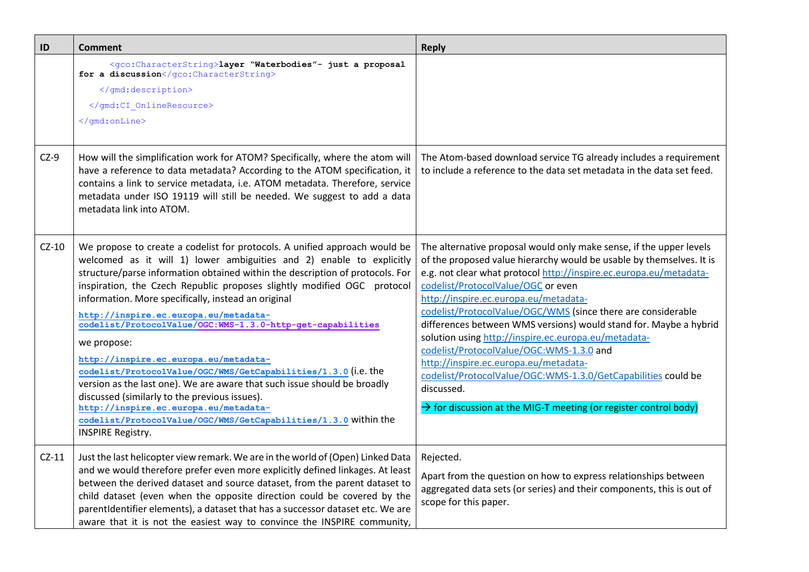| ID      | <b>Comment</b>                                                                                                                                                                                                                                                                                                                                                                                                                                                                                                                                                                                                                                                                                                                                                                                                                                                              | <b>Reply</b>                                                                                                                                                                                                                                                                                                                                                                                                                                                                                                                                                                                                                                                                                                                                      |
|---------|-----------------------------------------------------------------------------------------------------------------------------------------------------------------------------------------------------------------------------------------------------------------------------------------------------------------------------------------------------------------------------------------------------------------------------------------------------------------------------------------------------------------------------------------------------------------------------------------------------------------------------------------------------------------------------------------------------------------------------------------------------------------------------------------------------------------------------------------------------------------------------|---------------------------------------------------------------------------------------------------------------------------------------------------------------------------------------------------------------------------------------------------------------------------------------------------------------------------------------------------------------------------------------------------------------------------------------------------------------------------------------------------------------------------------------------------------------------------------------------------------------------------------------------------------------------------------------------------------------------------------------------------|
|         | <gco:characterstring>layer "Waterbodies"- just a proposal<br/>for a discussion</gco:characterstring><br><br><br>                                                                                                                                                                                                                                                                                                                                                                                                                                                                                                                                                                                                                                                                                                                                                            |                                                                                                                                                                                                                                                                                                                                                                                                                                                                                                                                                                                                                                                                                                                                                   |
| $CZ-9$  | How will the simplification work for ATOM? Specifically, where the atom will<br>have a reference to data metadata? According to the ATOM specification, it<br>contains a link to service metadata, i.e. ATOM metadata. Therefore, service<br>metadata under ISO 19119 will still be needed. We suggest to add a data<br>metadata link into ATOM.                                                                                                                                                                                                                                                                                                                                                                                                                                                                                                                            | The Atom-based download service TG already includes a requirement<br>to include a reference to the data set metadata in the data set feed.                                                                                                                                                                                                                                                                                                                                                                                                                                                                                                                                                                                                        |
| $CZ-10$ | We propose to create a codelist for protocols. A unified approach would be<br>welcomed as it will 1) lower ambiguities and 2) enable to explicitly<br>structure/parse information obtained within the description of protocols. For<br>inspiration, the Czech Republic proposes slightly modified OGC protocol<br>information. More specifically, instead an original<br>http://inspire.ec.europa.eu/metadata-<br>codelist/ProtocolValue/OGC:WMS-1.3.0-http-get-capabilities<br>we propose:<br>http://inspire.ec.europa.eu/metadata-<br>codelist/ProtocolValue/OGC/WMS/GetCapabilities/1.3.0 (i.e. the<br>version as the last one). We are aware that such issue should be broadly<br>discussed (similarly to the previous issues).<br>http://inspire.ec.europa.eu/metadata-<br>codelist/ProtocolValue/OGC/WMS/GetCapabilities/1.3.0 within the<br><b>INSPIRE Registry.</b> | The alternative proposal would only make sense, if the upper levels<br>of the proposed value hierarchy would be usable by themselves. It is<br>e.g. not clear what protocol http://inspire.ec.europa.eu/metadata-<br>codelist/ProtocolValue/OGC or even<br>http://inspire.ec.europa.eu/metadata-<br>codelist/ProtocolValue/OGC/WMS (since there are considerable<br>differences between WMS versions) would stand for. Maybe a hybrid<br>solution using http://inspire.ec.europa.eu/metadata-<br>codelist/ProtocolValue/OGC:WMS-1.3.0 and<br>http://inspire.ec.europa.eu/metadata-<br>codelist/ProtocolValue/OGC:WMS-1.3.0/GetCapabilities could be<br>discussed.<br>$\rightarrow$ for discussion at the MIG-T meeting (or register control body) |
| $CZ-11$ | Just the last helicopter view remark. We are in the world of (Open) Linked Data<br>and we would therefore prefer even more explicitly defined linkages. At least<br>between the derived dataset and source dataset, from the parent dataset to<br>child dataset (even when the opposite direction could be covered by the<br>parentIdentifier elements), a dataset that has a successor dataset etc. We are<br>aware that it is not the easiest way to convince the INSPIRE community,                                                                                                                                                                                                                                                                                                                                                                                      | Rejected.<br>Apart from the question on how to express relationships between<br>aggregated data sets (or series) and their components, this is out of<br>scope for this paper.                                                                                                                                                                                                                                                                                                                                                                                                                                                                                                                                                                    |